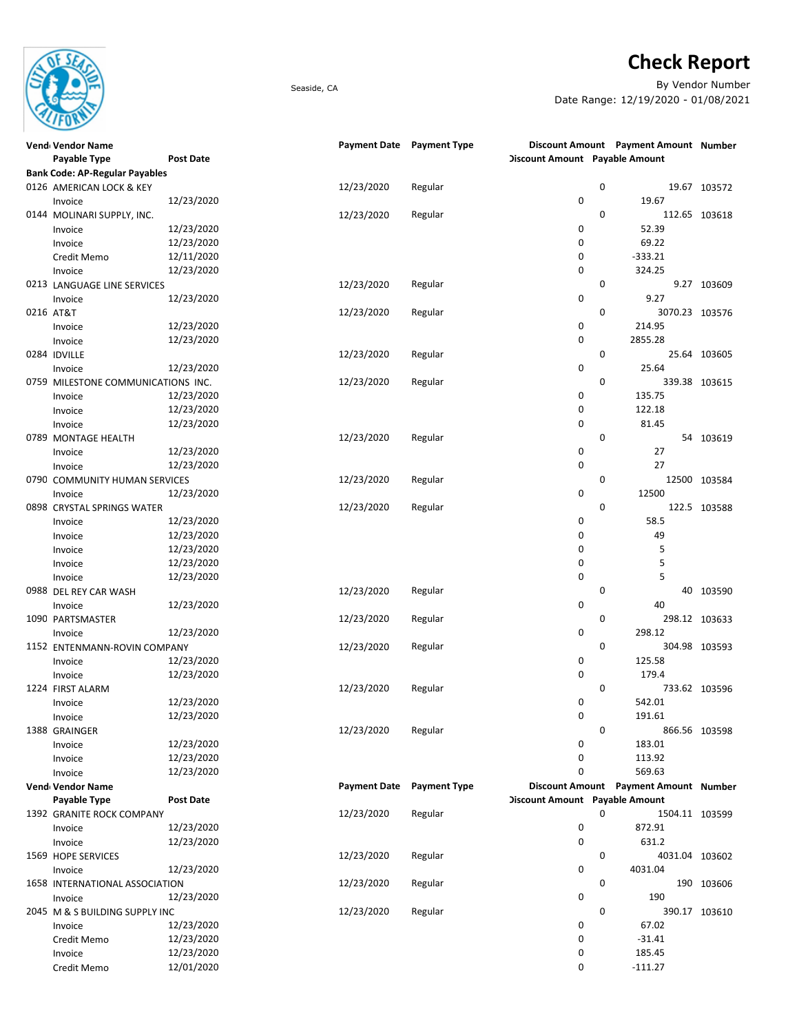

## Check Report

Seaside, CA By Vendor Number Date Range: 12/19/2020 - 01/08/2021

| Vend Vendor Name                      |                  |                     | Payment Date Payment Type |                                | Discount Amount Payment Amount Number |               |
|---------------------------------------|------------------|---------------------|---------------------------|--------------------------------|---------------------------------------|---------------|
| Payable Type                          | Post Date        |                     |                           | Discount Amount Payable Amount |                                       |               |
| <b>Bank Code: AP-Regular Payables</b> |                  |                     |                           |                                |                                       |               |
| 0126 AMERICAN LOCK & KEY              |                  | 12/23/2020          | Regular                   | 0                              |                                       | 19.67 103572  |
| Invoice                               | 12/23/2020       |                     |                           | 0                              | 19.67                                 |               |
| 0144 MOLINARI SUPPLY, INC.            |                  | 12/23/2020          | Regular                   | $\mathbf 0$                    |                                       | 112.65 103618 |
| Invoice                               | 12/23/2020       |                     |                           | 0                              | 52.39                                 |               |
| Invoice                               | 12/23/2020       |                     |                           | 0                              | 69.22                                 |               |
| Credit Memo                           | 12/11/2020       |                     |                           | 0                              | $-333.21$                             |               |
| Invoice                               | 12/23/2020       |                     |                           | 0                              | 324.25                                |               |
| 0213 LANGUAGE LINE SERVICES           |                  | 12/23/2020          | Regular                   | 0                              |                                       | 9.27 103609   |
| Invoice                               | 12/23/2020       |                     |                           | 0                              | 9.27                                  |               |
| 0216 AT&T                             |                  | 12/23/2020          | Regular                   | 0                              | 3070.23 103576                        |               |
| Invoice                               | 12/23/2020       |                     |                           | 0                              | 214.95                                |               |
| Invoice                               | 12/23/2020       |                     |                           | 0                              | 2855.28                               |               |
| 0284 IDVILLE                          |                  | 12/23/2020          | Regular                   | 0                              |                                       | 25.64 103605  |
| Invoice                               | 12/23/2020       |                     |                           | 0                              | 25.64                                 |               |
| 0759 MILESTONE COMMUNICATIONS INC.    |                  | 12/23/2020          | Regular                   | 0                              |                                       | 339.38 103615 |
| Invoice                               | 12/23/2020       |                     |                           | 0                              | 135.75                                |               |
| Invoice                               | 12/23/2020       |                     |                           | 0                              | 122.18                                |               |
|                                       | 12/23/2020       |                     |                           | 0                              | 81.45                                 |               |
| Invoice                               |                  | 12/23/2020          |                           | $\mathbf 0$                    |                                       | 54 103619     |
| 0789 MONTAGE HEALTH                   | 12/23/2020       |                     | Regular                   | 0                              | 27                                    |               |
| Invoice                               |                  |                     |                           |                                | 27                                    |               |
| Invoice                               | 12/23/2020       |                     |                           | 0                              |                                       |               |
| 0790 COMMUNITY HUMAN SERVICES         |                  | 12/23/2020          | Regular                   | 0                              |                                       | 12500 103584  |
| Invoice                               | 12/23/2020       |                     |                           | 0                              | 12500                                 |               |
| 0898 CRYSTAL SPRINGS WATER            |                  | 12/23/2020          | Regular                   | 0                              |                                       | 122.5 103588  |
| Invoice                               | 12/23/2020       |                     |                           | 0                              | 58.5                                  |               |
| Invoice                               | 12/23/2020       |                     |                           | 0                              | 49                                    |               |
| Invoice                               | 12/23/2020       |                     |                           | 0                              | 5                                     |               |
| Invoice                               | 12/23/2020       |                     |                           | 0                              | 5                                     |               |
| Invoice                               | 12/23/2020       |                     |                           | 0                              | 5                                     |               |
| 0988 DEL REY CAR WASH                 |                  | 12/23/2020          | Regular                   | 0                              |                                       | 40 103590     |
| Invoice                               | 12/23/2020       |                     |                           | 0                              | 40                                    |               |
| 1090 PARTSMASTER                      |                  | 12/23/2020          | Regular                   | 0                              |                                       | 298.12 103633 |
| Invoice                               | 12/23/2020       |                     |                           | 0                              | 298.12                                |               |
| 1152 ENTENMANN-ROVIN COMPANY          |                  | 12/23/2020          | Regular                   | $\mathbf 0$                    |                                       | 304.98 103593 |
| Invoice                               | 12/23/2020       |                     |                           | 0                              | 125.58                                |               |
| Invoice                               | 12/23/2020       |                     |                           | 0                              | 179.4                                 |               |
| 1224 FIRST ALARM                      |                  | 12/23/2020          | Regular                   | 0                              |                                       | 733.62 103596 |
| Invoice                               | 12/23/2020       |                     |                           | 0                              | 542.01                                |               |
| Invoice                               | 12/23/2020       |                     |                           | 0                              | 191.61                                |               |
| 1388 GRAINGER                         |                  | 12/23/2020          | Regular                   | 0                              |                                       | 866.56 103598 |
| Invoice                               | 12/23/2020       |                     |                           | 0                              | 183.01                                |               |
| Invoice                               | 12/23/2020       |                     |                           | 0                              | 113.92                                |               |
| Invoice                               | 12/23/2020       |                     |                           | 0                              | 569.63                                |               |
| Vend Vendor Name                      |                  | <b>Payment Date</b> | <b>Payment Type</b>       |                                | Discount Amount Payment Amount Number |               |
| Payable Type                          | <b>Post Date</b> |                     |                           | Discount Amount Payable Amount |                                       |               |
| 1392 GRANITE ROCK COMPANY             |                  | 12/23/2020          | Regular                   | 0                              | 1504.11 103599                        |               |
| Invoice                               | 12/23/2020       |                     |                           | 0                              | 872.91                                |               |
| Invoice                               | 12/23/2020       |                     |                           | 0                              | 631.2                                 |               |
| 1569 HOPE SERVICES                    |                  | 12/23/2020          | Regular                   | 0                              | 4031.04 103602                        |               |
| Invoice                               | 12/23/2020       |                     |                           | 0                              | 4031.04                               |               |
| 1658 INTERNATIONAL ASSOCIATION        |                  | 12/23/2020          | Regular                   | 0                              |                                       | 190 103606    |
| Invoice                               | 12/23/2020       |                     |                           | 0                              | 190                                   |               |
| 2045 M & S BUILDING SUPPLY INC        |                  | 12/23/2020          | Regular                   | 0                              |                                       | 390.17 103610 |
| Invoice                               | 12/23/2020       |                     |                           | 0                              | 67.02                                 |               |
| Credit Memo                           | 12/23/2020       |                     |                           | 0                              | $-31.41$                              |               |
| Invoice                               | 12/23/2020       |                     |                           | 0                              | 185.45                                |               |
|                                       | 12/01/2020       |                     |                           | 0                              | $-111.27$                             |               |
| Credit Memo                           |                  |                     |                           |                                |                                       |               |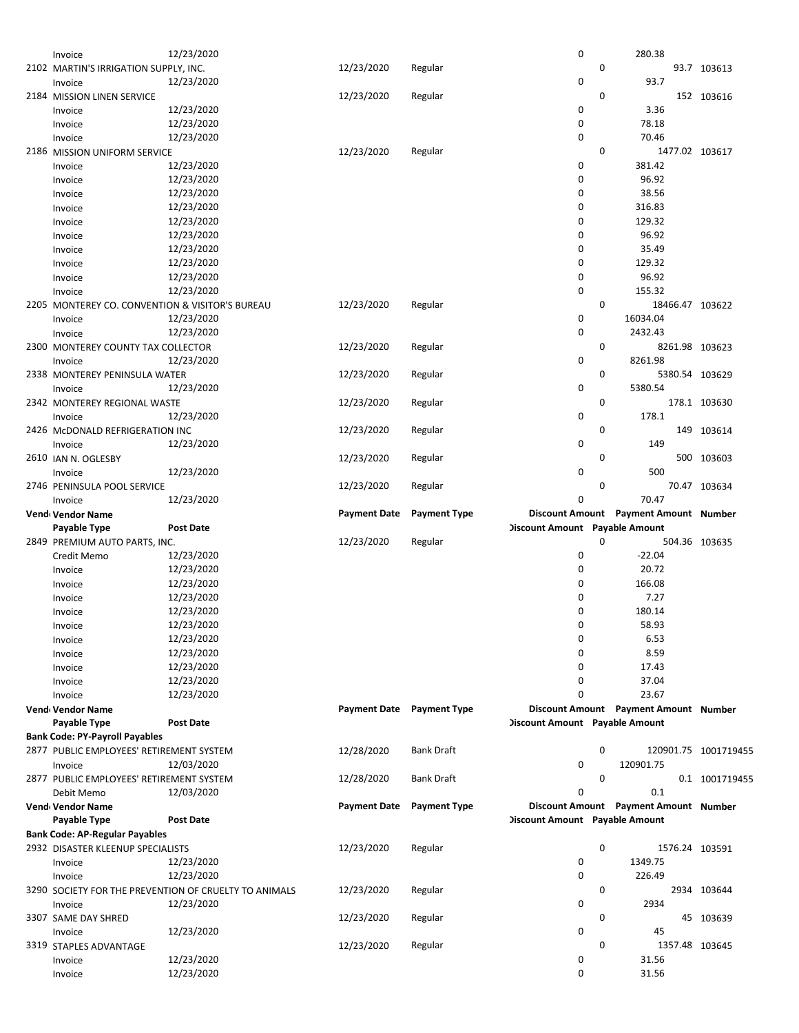| Invoice                                         | 12/23/2020                                            |                     |                           | 0                              |   | 280.38                                |                      |
|-------------------------------------------------|-------------------------------------------------------|---------------------|---------------------------|--------------------------------|---|---------------------------------------|----------------------|
| 2102 MARTIN'S IRRIGATION SUPPLY, INC.           |                                                       | 12/23/2020          | Regular                   |                                | 0 |                                       | 93.7 103613          |
| Invoice                                         | 12/23/2020                                            |                     |                           | 0                              |   | 93.7                                  |                      |
|                                                 |                                                       |                     |                           |                                | 0 |                                       |                      |
| 2184 MISSION LINEN SERVICE                      |                                                       | 12/23/2020          | Regular                   |                                |   |                                       | 152 103616           |
| Invoice                                         | 12/23/2020                                            |                     |                           | 0                              |   | 3.36                                  |                      |
| Invoice                                         | 12/23/2020                                            |                     |                           | 0                              |   | 78.18                                 |                      |
| Invoice                                         | 12/23/2020                                            |                     |                           | 0                              |   | 70.46                                 |                      |
| 2186 MISSION UNIFORM SERVICE                    |                                                       | 12/23/2020          | Regular                   |                                | 0 |                                       | 1477.02 103617       |
| Invoice                                         | 12/23/2020                                            |                     |                           | 0                              |   | 381.42                                |                      |
| Invoice                                         | 12/23/2020                                            |                     |                           | 0                              |   | 96.92                                 |                      |
|                                                 |                                                       |                     |                           |                                |   |                                       |                      |
| Invoice                                         | 12/23/2020                                            |                     |                           | 0                              |   | 38.56                                 |                      |
| Invoice                                         | 12/23/2020                                            |                     |                           | 0                              |   | 316.83                                |                      |
| Invoice                                         | 12/23/2020                                            |                     |                           | 0                              |   | 129.32                                |                      |
| Invoice                                         | 12/23/2020                                            |                     |                           | 0                              |   | 96.92                                 |                      |
| Invoice                                         | 12/23/2020                                            |                     |                           | 0                              |   | 35.49                                 |                      |
|                                                 | 12/23/2020                                            |                     |                           | 0                              |   | 129.32                                |                      |
| Invoice                                         |                                                       |                     |                           |                                |   |                                       |                      |
| Invoice                                         | 12/23/2020                                            |                     |                           | 0                              |   | 96.92                                 |                      |
| Invoice                                         | 12/23/2020                                            |                     |                           | 0                              |   | 155.32                                |                      |
| 2205 MONTEREY CO. CONVENTION & VISITOR'S BUREAU |                                                       | 12/23/2020          | Regular                   |                                | 0 |                                       | 18466.47 103622      |
| Invoice                                         | 12/23/2020                                            |                     |                           | 0                              |   | 16034.04                              |                      |
| Invoice                                         | 12/23/2020                                            |                     |                           | 0                              |   | 2432.43                               |                      |
|                                                 |                                                       |                     |                           |                                |   |                                       |                      |
| 2300 MONTEREY COUNTY TAX COLLECTOR              |                                                       | 12/23/2020          | Regular                   |                                | 0 |                                       | 8261.98 103623       |
| Invoice                                         | 12/23/2020                                            |                     |                           | 0                              |   | 8261.98                               |                      |
| 2338 MONTEREY PENINSULA WATER                   |                                                       | 12/23/2020          | Regular                   |                                | 0 |                                       | 5380.54 103629       |
| Invoice                                         | 12/23/2020                                            |                     |                           | 0                              |   | 5380.54                               |                      |
| 2342 MONTEREY REGIONAL WASTE                    |                                                       | 12/23/2020          | Regular                   |                                | 0 |                                       | 178.1 103630         |
|                                                 | 12/23/2020                                            |                     |                           | 0                              |   | 178.1                                 |                      |
| Invoice                                         |                                                       |                     |                           |                                |   |                                       |                      |
| 2426 McDONALD REFRIGERATION INC                 |                                                       | 12/23/2020          | Regular                   |                                | 0 |                                       | 149 103614           |
| Invoice                                         | 12/23/2020                                            |                     |                           | 0                              |   | 149                                   |                      |
| 2610 JAN N. OGLESBY                             |                                                       | 12/23/2020          | Regular                   |                                | 0 |                                       | 500 103603           |
| Invoice                                         | 12/23/2020                                            |                     |                           | 0                              |   | 500                                   |                      |
| 2746 PENINSULA POOL SERVICE                     |                                                       | 12/23/2020          | Regular                   |                                | 0 |                                       | 70.47 103634         |
|                                                 | 12/23/2020                                            |                     |                           | 0                              |   | 70.47                                 |                      |
| Invoice                                         |                                                       |                     |                           |                                |   |                                       |                      |
| Vend Vendor Name                                |                                                       | <b>Payment Date</b> | <b>Payment Type</b>       |                                |   | Discount Amount Payment Amount Number |                      |
| Payable Type                                    | <b>Post Date</b>                                      |                     |                           | Discount Amount Payable Amount |   |                                       |                      |
| 2849 PREMIUM AUTO PARTS, INC.                   |                                                       | 12/23/2020          | Regular                   |                                | 0 |                                       | 504.36 103635        |
|                                                 |                                                       |                     |                           |                                |   |                                       |                      |
|                                                 |                                                       |                     |                           |                                |   |                                       |                      |
| Credit Memo                                     | 12/23/2020                                            |                     |                           | 0                              |   | $-22.04$                              |                      |
| Invoice                                         | 12/23/2020                                            |                     |                           | 0                              |   | 20.72                                 |                      |
| Invoice                                         | 12/23/2020                                            |                     |                           | 0                              |   | 166.08                                |                      |
| Invoice                                         | 12/23/2020                                            |                     |                           | 0                              |   | 7.27                                  |                      |
| Invoice                                         | 12/23/2020                                            |                     |                           | 0                              |   | 180.14                                |                      |
|                                                 |                                                       |                     |                           | 0                              |   |                                       |                      |
| Invoice                                         | 12/23/2020                                            |                     |                           |                                |   | 58.93                                 |                      |
| Invoice                                         | 12/23/2020                                            |                     |                           | 0                              |   | 6.53                                  |                      |
| Invoice                                         | 12/23/2020                                            |                     |                           | 0                              |   | 8.59                                  |                      |
| Invoice                                         | 12/23/2020                                            |                     |                           | 0                              |   | 17.43                                 |                      |
| Invoice                                         | 12/23/2020                                            |                     |                           | 0                              |   | 37.04                                 |                      |
| Invoice                                         | 12/23/2020                                            |                     |                           | 0                              |   | 23.67                                 |                      |
|                                                 |                                                       |                     |                           |                                |   | Discount Amount Payment Amount Number |                      |
| Vend Vendor Name                                |                                                       |                     | Payment Date Payment Type |                                |   |                                       |                      |
| Payable Type                                    | <b>Post Date</b>                                      |                     |                           | Discount Amount Payable Amount |   |                                       |                      |
| <b>Bank Code: PY-Payroll Payables</b>           |                                                       |                     |                           |                                |   |                                       |                      |
| 2877 PUBLIC EMPLOYEES' RETIREMENT SYSTEM        |                                                       | 12/28/2020          | <b>Bank Draft</b>         |                                | 0 |                                       | 120901.75 1001719455 |
| Invoice                                         | 12/03/2020                                            |                     |                           | 0                              |   | 120901.75                             |                      |
| 2877 PUBLIC EMPLOYEES' RETIREMENT SYSTEM        |                                                       | 12/28/2020          | Bank Draft                |                                | 0 |                                       | 0.1 1001719455       |
|                                                 | 12/03/2020                                            |                     |                           | 0                              |   | 0.1                                   |                      |
| Debit Memo                                      |                                                       |                     |                           |                                |   |                                       |                      |
| Vend Vendor Name                                |                                                       | <b>Payment Date</b> | <b>Payment Type</b>       |                                |   | Discount Amount Payment Amount Number |                      |
| Payable Type                                    | <b>Post Date</b>                                      |                     |                           | Discount Amount Payable Amount |   |                                       |                      |
| <b>Bank Code: AP-Regular Payables</b>           |                                                       |                     |                           |                                |   |                                       |                      |
| 2932 DISASTER KLEENUP SPECIALISTS               |                                                       | 12/23/2020          | Regular                   |                                | 0 |                                       | 1576.24 103591       |
| Invoice                                         | 12/23/2020                                            |                     |                           | 0                              |   | 1349.75                               |                      |
|                                                 |                                                       |                     |                           | 0                              |   |                                       |                      |
| Invoice                                         | 12/23/2020                                            |                     |                           |                                |   | 226.49                                |                      |
|                                                 | 3290 SOCIETY FOR THE PREVENTION OF CRUELTY TO ANIMALS | 12/23/2020          | Regular                   |                                | 0 |                                       | 2934 103644          |
| Invoice                                         | 12/23/2020                                            |                     |                           | 0                              |   | 2934                                  |                      |
| 3307 SAME DAY SHRED                             |                                                       | 12/23/2020          | Regular                   |                                | 0 |                                       | 45 103639            |
| Invoice                                         | 12/23/2020                                            |                     |                           | 0                              |   | 45                                    |                      |
| 3319 STAPLES ADVANTAGE                          |                                                       | 12/23/2020          | Regular                   |                                | 0 |                                       | 1357.48 103645       |
|                                                 |                                                       |                     |                           |                                |   |                                       |                      |
| Invoice<br>Invoice                              | 12/23/2020<br>12/23/2020                              |                     |                           | 0<br>0                         |   | 31.56<br>31.56                        |                      |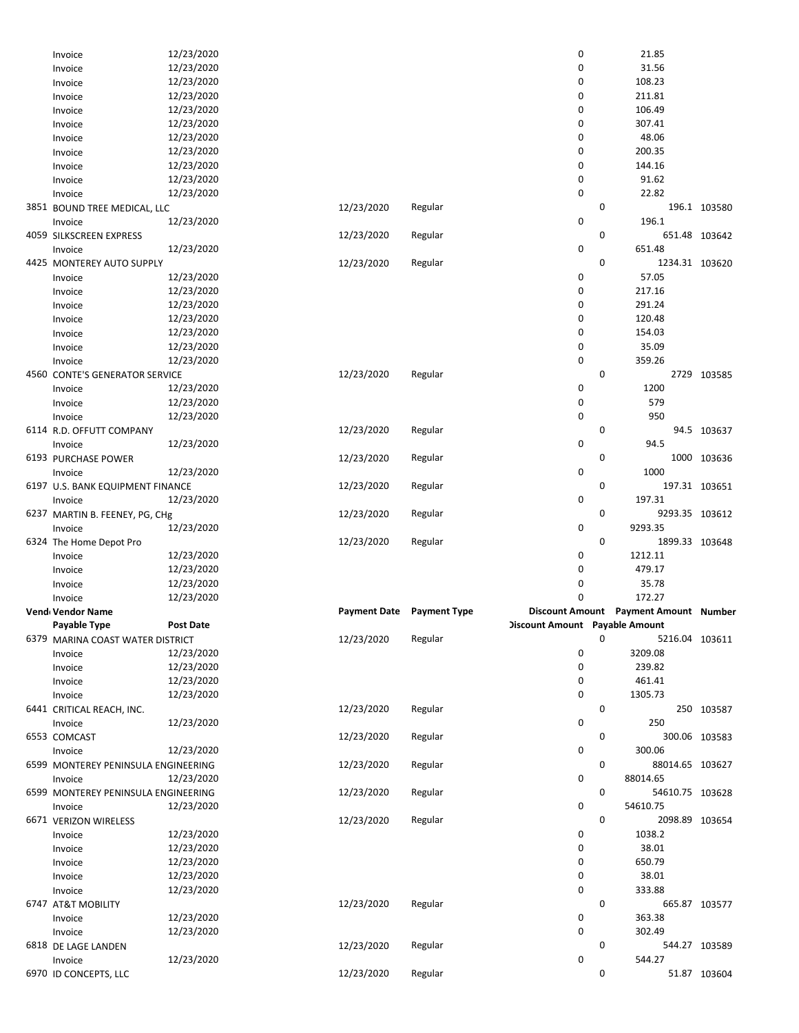| Invoice                             | 12/23/2020       |            |                                  | 0                              |   | 21.85                                 |               |
|-------------------------------------|------------------|------------|----------------------------------|--------------------------------|---|---------------------------------------|---------------|
| Invoice                             | 12/23/2020       |            |                                  | 0                              |   | 31.56                                 |               |
| Invoice                             | 12/23/2020       |            |                                  | 0                              |   | 108.23                                |               |
| Invoice                             | 12/23/2020       |            |                                  | 0                              |   | 211.81                                |               |
| Invoice                             | 12/23/2020       |            |                                  | 0                              |   | 106.49                                |               |
| Invoice                             | 12/23/2020       |            |                                  | 0                              |   | 307.41                                |               |
| Invoice                             | 12/23/2020       |            |                                  | 0                              |   | 48.06                                 |               |
| Invoice                             | 12/23/2020       |            |                                  | 0                              |   | 200.35                                |               |
| Invoice                             | 12/23/2020       |            |                                  | 0                              |   | 144.16                                |               |
| Invoice                             | 12/23/2020       |            |                                  | 0                              |   | 91.62                                 |               |
| Invoice                             | 12/23/2020       |            |                                  | 0                              |   | 22.82                                 |               |
| 3851 BOUND TREE MEDICAL, LLC        |                  | 12/23/2020 | Regular                          |                                | 0 |                                       | 196.1 103580  |
| Invoice                             | 12/23/2020       |            |                                  | 0                              |   | 196.1                                 |               |
| 4059 SILKSCREEN EXPRESS             |                  | 12/23/2020 | Regular                          |                                | 0 |                                       | 651.48 103642 |
| Invoice                             | 12/23/2020       |            |                                  | 0                              |   | 651.48                                |               |
| 4425 MONTEREY AUTO SUPPLY           |                  | 12/23/2020 | Regular                          |                                | 0 | 1234.31 103620                        |               |
| Invoice                             | 12/23/2020       |            |                                  | 0                              |   | 57.05                                 |               |
| Invoice                             | 12/23/2020       |            |                                  | 0                              |   | 217.16                                |               |
| Invoice                             | 12/23/2020       |            |                                  | 0                              |   | 291.24                                |               |
| Invoice                             | 12/23/2020       |            |                                  | 0                              |   | 120.48                                |               |
| Invoice                             | 12/23/2020       |            |                                  | 0                              |   | 154.03                                |               |
| Invoice                             | 12/23/2020       |            |                                  | 0                              |   | 35.09                                 |               |
| Invoice                             | 12/23/2020       |            |                                  | 0                              |   | 359.26                                |               |
| 4560 CONTE'S GENERATOR SERVICE      |                  | 12/23/2020 | Regular                          |                                | 0 |                                       | 2729 103585   |
| Invoice                             | 12/23/2020       |            |                                  | 0                              |   | 1200                                  |               |
| Invoice                             | 12/23/2020       |            |                                  | 0                              |   | 579                                   |               |
|                                     | 12/23/2020       |            |                                  | 0                              |   | 950                                   |               |
| Invoice                             |                  | 12/23/2020 | Regular                          |                                | 0 |                                       | 94.5 103637   |
| 6114 R.D. OFFUTT COMPANY<br>Invoice | 12/23/2020       |            |                                  | 0                              |   | 94.5                                  |               |
| 6193 PURCHASE POWER                 |                  | 12/23/2020 | Regular                          |                                | 0 |                                       | 1000 103636   |
|                                     | 12/23/2020       |            |                                  |                                |   | 1000                                  |               |
| Invoice                             |                  |            |                                  | 0                              | 0 |                                       | 197.31 103651 |
| 6197 U.S. BANK EQUIPMENT FINANCE    | 12/23/2020       | 12/23/2020 | Regular                          |                                |   |                                       |               |
| Invoice                             |                  |            |                                  | 0                              |   | 197.31                                |               |
|                                     |                  |            |                                  |                                |   |                                       |               |
| 6237 MARTIN B. FEENEY, PG, CHg      |                  | 12/23/2020 | Regular                          |                                | 0 | 9293.35 103612                        |               |
| Invoice                             | 12/23/2020       |            |                                  | 0                              |   | 9293.35                               |               |
| 6324 The Home Depot Pro             |                  | 12/23/2020 | Regular                          |                                | 0 | 1899.33 103648                        |               |
| Invoice                             | 12/23/2020       |            |                                  | 0                              |   | 1212.11                               |               |
| Invoice                             | 12/23/2020       |            |                                  | 0                              |   | 479.17                                |               |
| Invoice                             | 12/23/2020       |            |                                  | 0                              |   | 35.78                                 |               |
| Invoice                             | 12/23/2020       |            |                                  | 0                              |   | 172.27                                |               |
| Vend Vendor Name                    |                  |            | <b>Payment Date</b> Payment Type |                                |   | Discount Amount Payment Amount Number |               |
| Payable Type                        | <b>Post Date</b> |            |                                  | Discount Amount Payable Amount |   |                                       |               |
| 6379 MARINA COAST WATER DISTRICT    |                  | 12/23/2020 | Regular                          |                                | 0 | 5216.04 103611                        |               |
| Invoice                             | 12/23/2020       |            |                                  | 0                              |   | 3209.08                               |               |
| Invoice                             | 12/23/2020       |            |                                  | 0                              |   | 239.82                                |               |
| Invoice                             | 12/23/2020       |            |                                  | 0                              |   | 461.41                                |               |
| Invoice                             | 12/23/2020       |            |                                  | 0                              |   | 1305.73                               |               |
| 6441 CRITICAL REACH, INC.           |                  | 12/23/2020 | Regular                          |                                | 0 |                                       | 250 103587    |
| Invoice                             | 12/23/2020       |            |                                  | 0                              |   | 250                                   |               |
| 6553 COMCAST                        |                  | 12/23/2020 | Regular                          |                                | 0 |                                       | 300.06 103583 |
| Invoice                             | 12/23/2020       |            |                                  | 0                              |   | 300.06                                |               |
| 6599 MONTEREY PENINSULA ENGINEERING |                  | 12/23/2020 | Regular                          |                                | 0 | 88014.65 103627                       |               |
| Invoice                             | 12/23/2020       |            |                                  | 0                              |   | 88014.65                              |               |
| 6599 MONTEREY PENINSULA ENGINEERING |                  | 12/23/2020 | Regular                          |                                | 0 | 54610.75 103628                       |               |
| Invoice                             | 12/23/2020       |            |                                  | 0                              |   | 54610.75                              |               |
| 6671 VERIZON WIRELESS               |                  | 12/23/2020 | Regular                          |                                | 0 | 2098.89 103654                        |               |
| Invoice                             | 12/23/2020       |            |                                  | 0                              |   | 1038.2                                |               |
| Invoice                             | 12/23/2020       |            |                                  | 0                              |   | 38.01                                 |               |
| Invoice                             | 12/23/2020       |            |                                  | 0                              |   | 650.79                                |               |
| Invoice                             | 12/23/2020       |            |                                  | 0                              |   | 38.01                                 |               |
| Invoice                             | 12/23/2020       |            |                                  | 0                              |   | 333.88                                |               |
| 6747 AT&T MOBILITY                  |                  | 12/23/2020 | Regular                          |                                | 0 |                                       | 665.87 103577 |
| Invoice                             | 12/23/2020       |            |                                  | 0                              |   | 363.38                                |               |
| Invoice                             | 12/23/2020       |            |                                  | 0                              |   | 302.49                                |               |
| 6818 DE LAGE LANDEN                 |                  | 12/23/2020 | Regular                          |                                | 0 |                                       | 544.27 103589 |
| Invoice                             | 12/23/2020       |            |                                  | 0                              |   | 544.27                                |               |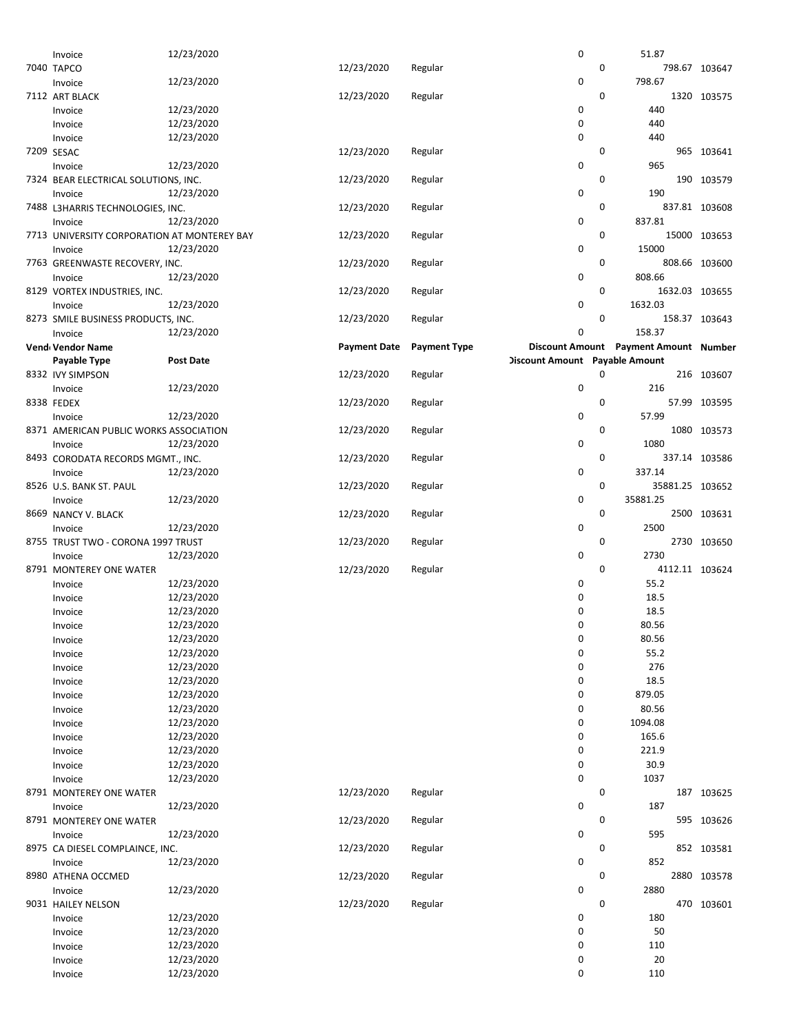| Invoice                                     | 12/23/2020               |                     |                     | 0                              | 51.87                                 |                 |
|---------------------------------------------|--------------------------|---------------------|---------------------|--------------------------------|---------------------------------------|-----------------|
| 7040 TAPCO                                  |                          | 12/23/2020          | Regular             |                                | $\mathbf 0$                           | 798.67 103647   |
|                                             | 12/23/2020               |                     |                     | 0                              | 798.67                                |                 |
| Invoice                                     |                          |                     |                     |                                |                                       |                 |
| 7112 ART BLACK                              |                          | 12/23/2020          | Regular             |                                | 0                                     | 1320 103575     |
| Invoice                                     | 12/23/2020               |                     |                     | 0                              | 440                                   |                 |
| Invoice                                     | 12/23/2020               |                     |                     | 0                              | 440                                   |                 |
|                                             | 12/23/2020               |                     |                     | 0                              | 440                                   |                 |
| Invoice                                     |                          |                     |                     |                                |                                       |                 |
| 7209 SESAC                                  |                          | 12/23/2020          | Regular             |                                | 0                                     | 965 103641      |
| Invoice                                     | 12/23/2020               |                     |                     | 0                              | 965                                   |                 |
| 7324 BEAR ELECTRICAL SOLUTIONS, INC.        |                          | 12/23/2020          | Regular             |                                | 0                                     | 190 103579      |
|                                             | 12/23/2020               |                     |                     | 0                              | 190                                   |                 |
| Invoice                                     |                          |                     |                     |                                |                                       |                 |
| 7488 L3HARRIS TECHNOLOGIES, INC.            |                          | 12/23/2020          | Regular             |                                | 0                                     | 837.81 103608   |
| Invoice                                     | 12/23/2020               |                     |                     | 0                              | 837.81                                |                 |
| 7713 UNIVERSITY CORPORATION AT MONTEREY BAY |                          | 12/23/2020          | Regular             |                                | 0                                     | 15000 103653    |
|                                             |                          |                     |                     |                                |                                       |                 |
| Invoice                                     | 12/23/2020               |                     |                     | 0                              | 15000                                 |                 |
| 7763 GREENWASTE RECOVERY, INC.              |                          | 12/23/2020          | Regular             |                                | 0                                     | 808.66 103600   |
| Invoice                                     | 12/23/2020               |                     |                     | 0                              | 808.66                                |                 |
| 8129 VORTEX INDUSTRIES, INC.                |                          | 12/23/2020          | Regular             |                                | 0                                     | 1632.03 103655  |
|                                             |                          |                     |                     |                                |                                       |                 |
| Invoice                                     | 12/23/2020               |                     |                     | 0                              | 1632.03                               |                 |
| 8273 SMILE BUSINESS PRODUCTS, INC.          |                          | 12/23/2020          | Regular             |                                | 0                                     | 158.37 103643   |
| Invoice                                     | 12/23/2020               |                     |                     | 0                              | 158.37                                |                 |
|                                             |                          |                     |                     |                                |                                       |                 |
| Vend Vendor Name                            |                          | <b>Payment Date</b> | <b>Payment Type</b> |                                | Discount Amount Payment Amount Number |                 |
| Payable Type                                | <b>Post Date</b>         |                     |                     | Discount Amount Payable Amount |                                       |                 |
| 8332 IVY SIMPSON                            |                          | 12/23/2020          | Regular             |                                | 0                                     | 216 103607      |
| Invoice                                     | 12/23/2020               |                     |                     | 0                              | 216                                   |                 |
|                                             |                          |                     |                     |                                |                                       |                 |
| 8338 FEDEX                                  |                          | 12/23/2020          | Regular             |                                | 0                                     | 57.99 103595    |
| Invoice                                     | 12/23/2020               |                     |                     | 0                              | 57.99                                 |                 |
| 8371 AMERICAN PUBLIC WORKS ASSOCIATION      |                          | 12/23/2020          | Regular             |                                | 0                                     | 1080 103573     |
| Invoice                                     | 12/23/2020               |                     |                     | 0                              | 1080                                  |                 |
|                                             |                          |                     |                     |                                |                                       |                 |
| 8493 CORODATA RECORDS MGMT., INC.           |                          | 12/23/2020          | Regular             |                                | 0                                     | 337.14 103586   |
| Invoice                                     | 12/23/2020               |                     |                     | 0                              | 337.14                                |                 |
| 8526 U.S. BANK ST. PAUL                     |                          | 12/23/2020          | Regular             |                                | 0                                     | 35881.25 103652 |
| Invoice                                     | 12/23/2020               |                     |                     | 0                              | 35881.25                              |                 |
|                                             |                          |                     |                     |                                |                                       |                 |
| 8669 NANCY V. BLACK                         |                          | 12/23/2020          | Regular             |                                | 0                                     | 2500 103631     |
| Invoice                                     | 12/23/2020               |                     |                     | 0                              | 2500                                  |                 |
| 8755 TRUST TWO - CORONA 1997 TRUST          |                          | 12/23/2020          | Regular             |                                | 0                                     | 2730 103650     |
|                                             |                          |                     |                     |                                |                                       |                 |
| Invoice                                     | 12/23/2020               |                     |                     | 0                              | 2730                                  |                 |
| 8791 MONTEREY ONE WATER                     |                          | 12/23/2020          | Regular             |                                | 0                                     | 4112.11 103624  |
| Invoice                                     | 12/23/2020               |                     |                     | 0                              | 55.2                                  |                 |
| Invoice                                     | 12/23/2020               |                     |                     | 0                              | 18.5                                  |                 |
|                                             |                          |                     |                     |                                |                                       |                 |
| Invoice                                     | 12/23/2020               |                     |                     | 0                              | 18.5                                  |                 |
| Invoice                                     | 12/23/2020               |                     |                     | 0                              | 80.56                                 |                 |
| Invoice                                     | 12/23/2020               |                     |                     | 0                              | 80.56                                 |                 |
| Invoice                                     | 12/23/2020               |                     |                     | 0                              | 55.2                                  |                 |
|                                             |                          |                     |                     |                                |                                       |                 |
| Invoice                                     | 12/23/2020               |                     |                     | 0                              | 276                                   |                 |
| Invoice                                     | 12/23/2020               |                     |                     | 0                              | 18.5                                  |                 |
| Invoice                                     | 12/23/2020               |                     |                     | 0                              | 879.05                                |                 |
|                                             | 12/23/2020               |                     |                     | 0                              | 80.56                                 |                 |
| Invoice                                     |                          |                     |                     |                                |                                       |                 |
| Invoice                                     | 12/23/2020               |                     |                     | 0                              | 1094.08                               |                 |
| Invoice                                     | 12/23/2020               |                     |                     | 0                              | 165.6                                 |                 |
| Invoice                                     | 12/23/2020               |                     |                     | 0                              | 221.9                                 |                 |
|                                             |                          |                     |                     |                                |                                       |                 |
| Invoice                                     | 12/23/2020               |                     |                     | 0                              | 30.9                                  |                 |
| Invoice                                     | 12/23/2020               |                     |                     | 0                              | 1037                                  |                 |
| 8791 MONTEREY ONE WATER                     |                          | 12/23/2020          | Regular             |                                | 0                                     | 187 103625      |
| Invoice                                     | 12/23/2020               |                     |                     | 0                              | 187                                   |                 |
|                                             |                          |                     |                     |                                |                                       |                 |
| 8791 MONTEREY ONE WATER                     |                          | 12/23/2020          | Regular             |                                | 0                                     | 595 103626      |
| Invoice                                     | 12/23/2020               |                     |                     | 0                              | 595                                   |                 |
| 8975 CA DIESEL COMPLAINCE, INC.             |                          | 12/23/2020          | Regular             |                                | 0                                     | 852 103581      |
| Invoice                                     | 12/23/2020               |                     |                     | 0                              | 852                                   |                 |
|                                             |                          |                     |                     |                                |                                       |                 |
| 8980 ATHENA OCCMED                          |                          | 12/23/2020          | Regular             |                                | 0                                     | 2880 103578     |
| Invoice                                     | 12/23/2020               |                     |                     | 0                              | 2880                                  |                 |
| 9031 HAILEY NELSON                          |                          | 12/23/2020          | Regular             |                                | 0                                     | 470 103601      |
|                                             | 12/23/2020               |                     |                     |                                | 180                                   |                 |
| Invoice                                     |                          |                     |                     | 0                              |                                       |                 |
| Invoice                                     | 12/23/2020               |                     |                     | 0                              | 50                                    |                 |
|                                             |                          |                     |                     |                                |                                       |                 |
| Invoice                                     | 12/23/2020               |                     |                     | 0                              | 110                                   |                 |
|                                             |                          |                     |                     |                                |                                       |                 |
| Invoice<br>Invoice                          | 12/23/2020<br>12/23/2020 |                     |                     | 0<br>0                         | 20<br>110                             |                 |